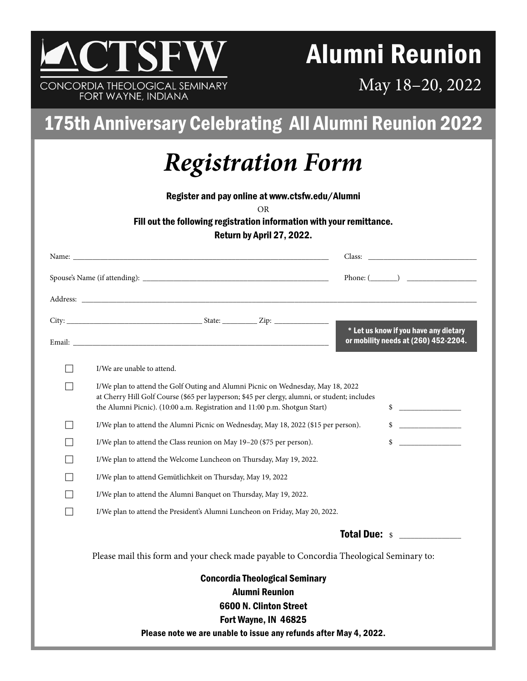

FORT WAYNE, INDIANA

# Alumni Reunion

May 18–20, 2022

### 175th Anniversary Celebrating All Alumni Reunion 2022

## *Registration Form*

Register and pay online at www.ctsfw.edu/Alumni

OR

#### Fill out the following registration information with your remittance.

Return by April 27, 2022.

|                                       | Phone: $(\_\_)$                                                                                                                                                                                                                                                                   |  |  |  |
|---------------------------------------|-----------------------------------------------------------------------------------------------------------------------------------------------------------------------------------------------------------------------------------------------------------------------------------|--|--|--|
|                                       |                                                                                                                                                                                                                                                                                   |  |  |  |
|                                       |                                                                                                                                                                                                                                                                                   |  |  |  |
|                                       | * Let us know if you have any dietary<br>or mobility needs at (260) 452-2204.                                                                                                                                                                                                     |  |  |  |
|                                       | I/We are unable to attend.                                                                                                                                                                                                                                                        |  |  |  |
|                                       | I/We plan to attend the Golf Outing and Alumni Picnic on Wednesday, May 18, 2022<br>at Cherry Hill Golf Course (\$65 per layperson; \$45 per clergy, alumni, or student; includes<br>$\updownarrow$<br>the Alumni Picnic). (10:00 a.m. Registration and 11:00 p.m. Shotgun Start) |  |  |  |
|                                       | $\frac{1}{2}$<br>I/We plan to attend the Alumni Picnic on Wednesday, May 18, 2022 (\$15 per person).                                                                                                                                                                              |  |  |  |
|                                       | \$<br>I/We plan to attend the Class reunion on May 19-20 (\$75 per person).                                                                                                                                                                                                       |  |  |  |
|                                       | I/We plan to attend the Welcome Luncheon on Thursday, May 19, 2022.                                                                                                                                                                                                               |  |  |  |
|                                       | I/We plan to attend Gemütlichkeit on Thursday, May 19, 2022                                                                                                                                                                                                                       |  |  |  |
|                                       | I/We plan to attend the Alumni Banquet on Thursday, May 19, 2022.                                                                                                                                                                                                                 |  |  |  |
|                                       | I/We plan to attend the President's Alumni Luncheon on Friday, May 20, 2022.                                                                                                                                                                                                      |  |  |  |
|                                       | <b>Total Due:</b> s                                                                                                                                                                                                                                                               |  |  |  |
|                                       | Please mail this form and your check made payable to Concordia Theological Seminary to:                                                                                                                                                                                           |  |  |  |
| <b>Concordia Theological Seminary</b> |                                                                                                                                                                                                                                                                                   |  |  |  |
| <b>Alumni Reunion</b>                 |                                                                                                                                                                                                                                                                                   |  |  |  |
| 6600 N. Clinton Street                |                                                                                                                                                                                                                                                                                   |  |  |  |
|                                       | Fort Wayne, IN 46825<br>Please note we are unable to issue any refunds after May 4, 2022.                                                                                                                                                                                         |  |  |  |